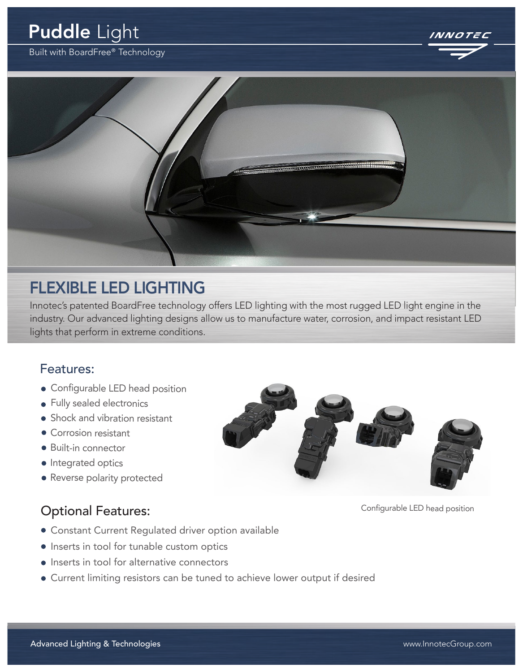# Puddle Light

Built with BoardFree® Technology





# FLEXIBLE LED LIGHTING

Innotec's patented BoardFree technology offers LED lighting with the most rugged LED light engine in the industry. Our advanced lighting designs allow us to manufacture water, corrosion, and impact resistant LED lights that perform in extreme conditions.

#### Features:

- Configurable LED head position
- **•** Fully sealed electronics
- Shock and vibration resistant
- Corrosion resistant
- Built-in connector
- Integrated optics
- Reverse polarity protected

#### Optional Features: Configurable LED head position

- Constant Current Regulated driver option available
- Inserts in tool for tunable custom optics
- Inserts in tool for alternative connectors
- Current limiting resistors can be tuned to achieve lower output if desired